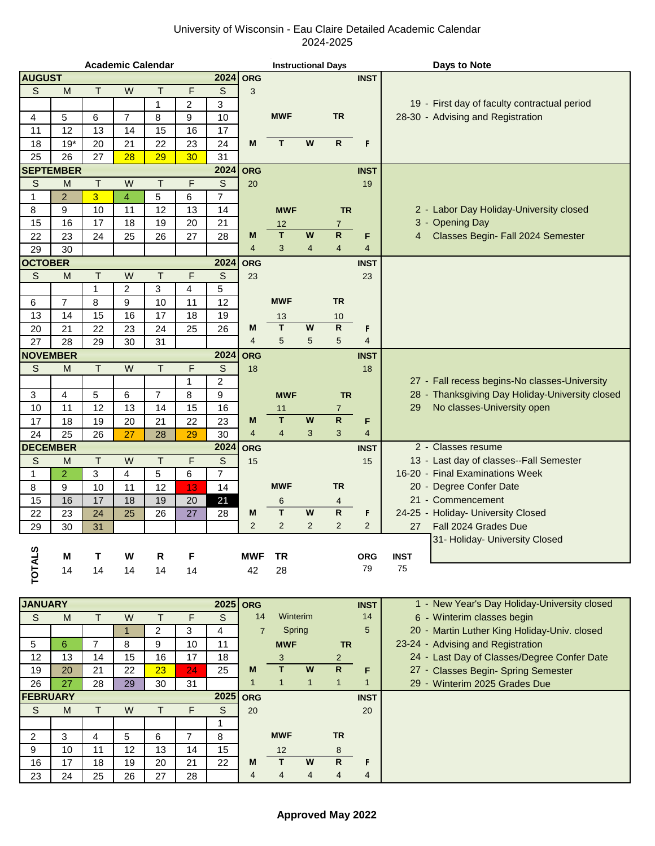## University of Wisconsin - Eau Claire Detailed Academic Calendar 2024-2025

|                 |                  |                |                | <b>Academic Calendar</b> |              |                |                | <b>Instructional Days</b> |                |                |                | <b>Days to Note</b>                             |
|-----------------|------------------|----------------|----------------|--------------------------|--------------|----------------|----------------|---------------------------|----------------|----------------|----------------|-------------------------------------------------|
| <b>AUGUST</b>   |                  |                |                |                          |              | 2024           | <b>ORG</b>     |                           |                |                | <b>INST</b>    |                                                 |
| S               | M                | T.             | W              | Т                        | F            | S              | 3              |                           |                |                |                |                                                 |
|                 |                  |                |                | $\mathbf{1}$             | 2            | 3              |                |                           |                |                |                | 19 - First day of faculty contractual period    |
| 4               | 5                | 6              | $\overline{7}$ | 8                        | 9            | 10             |                | <b>MWF</b>                |                | <b>TR</b>      |                | 28-30 - Advising and Registration               |
| 11              | 12               | 13             | 14             | 15                       | 16           | 17             |                |                           |                |                |                |                                                 |
| 18              | $19*$            | 20             | 21             | 22                       | 23           | 24             | M              | T.                        | W              | R              | F              |                                                 |
| 25              | 26               | 27             | 28             | 29                       | 30           | 31             |                |                           |                |                |                |                                                 |
|                 | <b>SEPTEMBER</b> |                |                |                          |              | 2024           | <b>ORG</b>     |                           |                |                | <b>INST</b>    |                                                 |
| S               | M                | $\top$         | W              | T                        | F            | S              | 20             |                           |                |                | 19             |                                                 |
| 1               | $\overline{2}$   | 3              | 4              | 5                        | 6            | $\overline{7}$ |                |                           |                |                |                |                                                 |
| 8               | 9                | 10             | 11             | 12                       | 13           | 14             |                | <b>MWF</b>                |                | <b>TR</b>      |                | 2 - Labor Day Holiday-University closed         |
| 15              | 16               | 17             | 18             | 19                       | 20           | 21             |                | 12                        |                | $\overline{7}$ |                | 3 - Opening Day                                 |
| 22              | 23               | 24             | 25             | 26                       | 27           | 28             | M              | T                         | W              | ${\sf R}$      | F              | Classes Begin- Fall 2024 Semester<br>4          |
| 29              | 30               |                |                |                          |              |                | $\overline{4}$ | 3                         | $\overline{4}$ | $\overline{4}$ | 4              |                                                 |
| <b>OCTOBER</b>  |                  |                |                |                          |              | 2024           | <b>ORG</b>     |                           |                |                | <b>INST</b>    |                                                 |
| S               | M                | $\mathsf T$    | W              | T                        | F            | $\mathbb S$    | 23             |                           |                |                | 23             |                                                 |
|                 |                  | 1              | 2              | 3                        | 4            | 5              |                |                           |                |                |                |                                                 |
| 6               | 7                | 8              | 9              | 10                       | 11           | 12             |                | <b>MWF</b>                |                | <b>TR</b>      |                |                                                 |
| 13              | 14               | 15             | 16             | 17                       | 18           | 19             |                | 13                        |                | 10             |                |                                                 |
| 20              | 21               | 22             | 23             | 24                       | 25           | 26             | M              | T                         | W              | $\mathsf{R}$   | F              |                                                 |
| 27              | 28               | 29             | 30             | 31                       |              |                | $\overline{4}$ | 5                         | 5              | 5              | 4              |                                                 |
| <b>NOVEMBER</b> |                  |                |                |                          |              | 2024           | <b>ORG</b>     |                           |                |                | <b>INST</b>    |                                                 |
| S               | M                | T.             | W              | Τ                        | F            | S              | 18             |                           |                |                | 18             |                                                 |
|                 |                  |                |                |                          | $\mathbf{1}$ | $\overline{2}$ |                |                           |                |                |                | 27 - Fall recess begins-No classes-University   |
| 3               | 4                | 5              | 6              | $\overline{7}$           | 8            | 9              |                | <b>MWF</b>                |                | <b>TR</b>      |                | 28 - Thanksgiving Day Holiday-University closed |
| 10              | 11               | 12             | 13             | 14                       | 15           | 16             |                | 11                        |                | $\overline{7}$ |                | No classes-University open<br>29                |
| 17              | 18               | 19             | 20             | 21                       | 22           | 23             | M              | T                         | W              | $\mathsf{R}$   | F              |                                                 |
| 24              | 25               | 26             | 27             | 28                       | 29           | 30             | $\overline{4}$ | $\overline{4}$            | 3              | 3              | 4              |                                                 |
| <b>DECEMBER</b> |                  |                |                |                          |              | 2024           | <b>ORG</b>     |                           |                |                | <b>INST</b>    | 2 - Classes resume                              |
| S               | M                | $\mathsf T$    | W              | T                        | F            | S              | 15             |                           |                |                | 15             | 13 - Last day of classes--Fall Semester         |
| 1               | $\overline{2}$   | 3              | 4              | 5                        | 6            | $\overline{7}$ |                |                           |                |                |                | 16-20 - Final Examinations Week                 |
| 8               | 9                | 10             | 11             | 12                       | 13           | 14             |                | <b>MWF</b>                |                | <b>TR</b>      |                | 20 - Degree Confer Date                         |
| 15              | 16               | 17             | 18             | 19                       | 20           | 21             |                | 6                         |                | 4              |                | 21 - Commencement                               |
| 22              | 23               | 24             | 25             | 26                       | 27           | 28             | M              | T                         | W              | $\mathsf{R}$   | F              | 24-25 - Holiday- University Closed              |
| 29              | 30               | 31             |                |                          |              |                | $\overline{2}$ | $\overline{2}$            | $\overline{2}$ | $\overline{2}$ | $\overline{2}$ | 27<br>Fall 2024 Grades Due                      |
|                 |                  |                |                |                          |              |                |                |                           |                |                |                | 31- Holiday- University Closed                  |
| <b>TOTALS</b>   | M                | т              | W              | R                        | F            |                | <b>MWF</b>     | <b>TR</b>                 |                |                | <b>ORG</b>     | <b>INST</b>                                     |
|                 | 14               | 14             | 14             | 14                       | 14           |                | 42             | 28                        |                |                | 79             | 75                                              |
|                 |                  |                |                |                          |              |                |                |                           |                |                |                |                                                 |
| <b>JANUARY</b>  |                  |                |                |                          |              |                | $2025$ ORG     |                           |                |                | <b>INST</b>    | 1 - New Year's Day Holiday-University closed    |
| $\mathsf S$     | M                | T              | W              | Τ                        | F            | $\mathsf S$    | 14             | Winterim                  |                |                | 14             | 6 - Winterim classes begin                      |
|                 |                  |                | $\mathbf{1}$   | 2                        | 3            | 4              | $\overline{7}$ | Spring                    |                |                | 5              | 20 - Martin Luther King Holiday-Univ. closed    |
| 5               | 6                | $\overline{7}$ | 8              | 9                        | 10           | 11             |                | <b>MWF</b>                |                | <b>TR</b>      |                | 23-24 - Advising and Registration               |
| 12              | 13               | 14             | 15             | 16                       | 17           | 18             |                | 3 <sup>1</sup>            |                | $2^{\circ}$    |                | 24 - Last Day of Classes/Degree Confer Date     |

19 20 21 22 23 24 25 **M T W R F** 27 - Classes Begin- Spring Semester 26 27 28 29 30 31 1 1 1 1 1 29 - Winterim 2025 Grades Due

**FEBRUARY** INST S M T W T F S 20 20

2 3 4 5 6 7 8 **MWF TR** 9 | 10 | 11 | 12 | 13 | 14 | 15 | 12 8 16 17 18 19 20 21 22 **M T W R F** 23 | 24 | 25 | 26 | 27 | 28 | | 14 | 44 | 44 | 4

1

**2025**